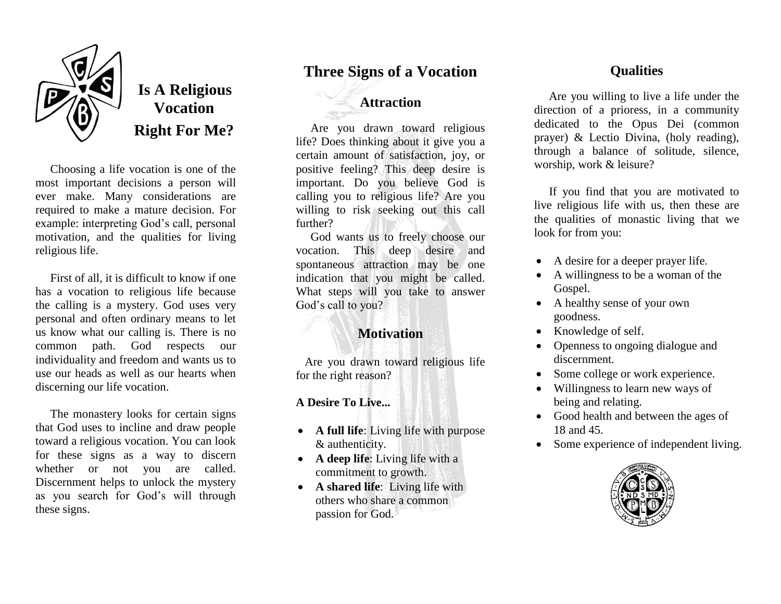

# **Is A Religious Vocation Right For Me?**

 Choosing a life vocation is one of the most important decisions a person will ever make. Many considerations are required to make a mature decision. For example: interpreting God's call, personal motivation, and the qualities for living religious life.

 First of all, it is difficult to know if one has a vocation to religious life because the calling is a mystery. God uses very personal and often ordinary means to let us know what our calling is. There is no common path. God respects our individuality and freedom and wants us to use our heads as well as our hearts when discerning our life vocation.

 The monastery looks for certain signs that God uses to incline and draw people toward a religious vocation. You can look for these signs as a way to discern whether or not you are called. Discernment helps to unlock the mystery as you search for God's will through these signs.

## **Three Signs of a Vocation**

## **Attraction**

 Are you drawn toward religious life? Does thinking about it give you a certain amount of satisfaction, joy, or positive feeling? This deep desire is important. Do you believe God is calling you to religious life? Are you willing to risk seeking out this call further?

 God wants us to freely choose our vocation. This deep desire and spontaneous attraction may be one indication that you might be called. What steps will you take to answer God's call to you?

## **Motivation**

 Are you drawn toward religious life for the right reason?

#### **A Desire To Live...**

- **A full life**: Living life with purpose & authenticity.
- **A deep life**: Living life with a commitment to growth.
- **A shared life**: Living life with others who share a common passion for God.

### **Qualities**

 Are you willing to live a life under the direction of a prioress, in a community dedicated to the Opus Dei (common prayer) & Lectio Divina, (holy reading), through a balance of solitude, silence, worship, work & leisure?

 If you find that you are motivated to live religious life with us, then these are the qualities of monastic living that we look for from you:

- A desire for a deeper prayer life.
- A willingness to be a woman of the Gospel.
- A healthy sense of your own goodness.
- Knowledge of self.
- Openness to ongoing dialogue and discernment.
- Some college or work experience.
- Willingness to learn new ways of being and relating.
- Good health and between the ages of 18 and 45.
- Some experience of independent living.